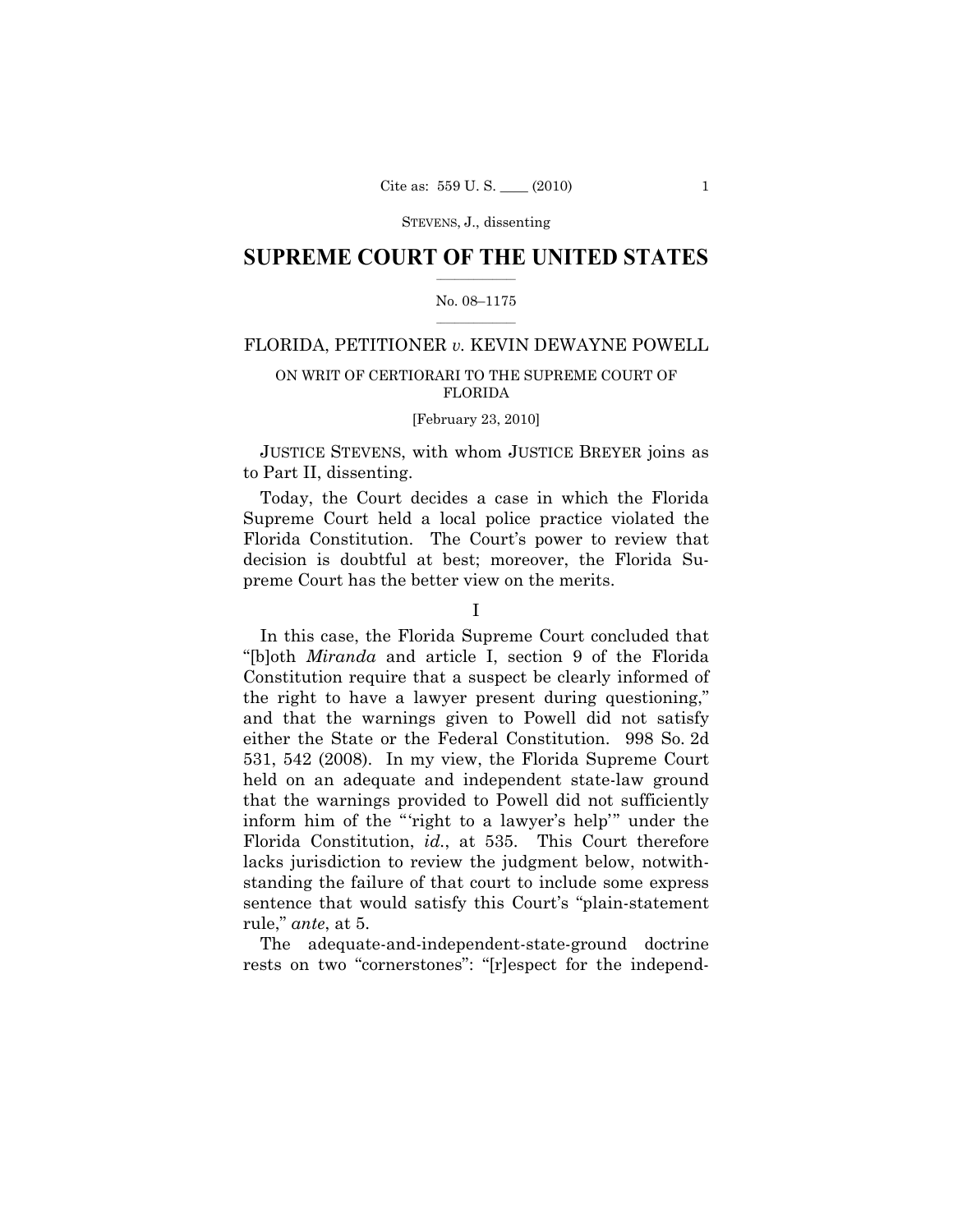## **SUPREME COURT OF THE UNITED STATES**  $\frac{1}{2}$  ,  $\frac{1}{2}$  ,  $\frac{1}{2}$  ,  $\frac{1}{2}$  ,  $\frac{1}{2}$  ,  $\frac{1}{2}$  ,  $\frac{1}{2}$

## No. 08–1175  $\frac{1}{2}$  ,  $\frac{1}{2}$  ,  $\frac{1}{2}$  ,  $\frac{1}{2}$  ,  $\frac{1}{2}$  ,  $\frac{1}{2}$

# FLORIDA, PETITIONER *v.* KEVIN DEWAYNE POWELL

## ON WRIT OF CERTIORARI TO THE SUPREME COURT OF FLORIDA

## [February 23, 2010]

 JUSTICE STEVENS, with whom JUSTICE BREYER joins as to Part II, dissenting.

 Today, the Court decides a case in which the Florida Supreme Court held a local police practice violated the Florida Constitution. The Court's power to review that decision is doubtful at best; moreover, the Florida Supreme Court has the better view on the merits.

 In this case, the Florida Supreme Court concluded that "[b]oth *Miranda* and article I, section 9 of the Florida Constitution require that a suspect be clearly informed of the right to have a lawyer present during questioning," and that the warnings given to Powell did not satisfy either the State or the Federal Constitution. 998 So. 2d 531, 542 (2008). In my view, the Florida Supreme Court held on an adequate and independent state-law ground that the warnings provided to Powell did not sufficiently inform him of the "'right to a lawyer's help'" under the Florida Constitution, *id.*, at 535. This Court therefore lacks jurisdiction to review the judgment below, notwithstanding the failure of that court to include some express sentence that would satisfy this Court's "plain-statement rule," *ante*, at 5.

 The adequate-and-independent-state-ground doctrine rests on two "cornerstones": "[r]espect for the independ-

I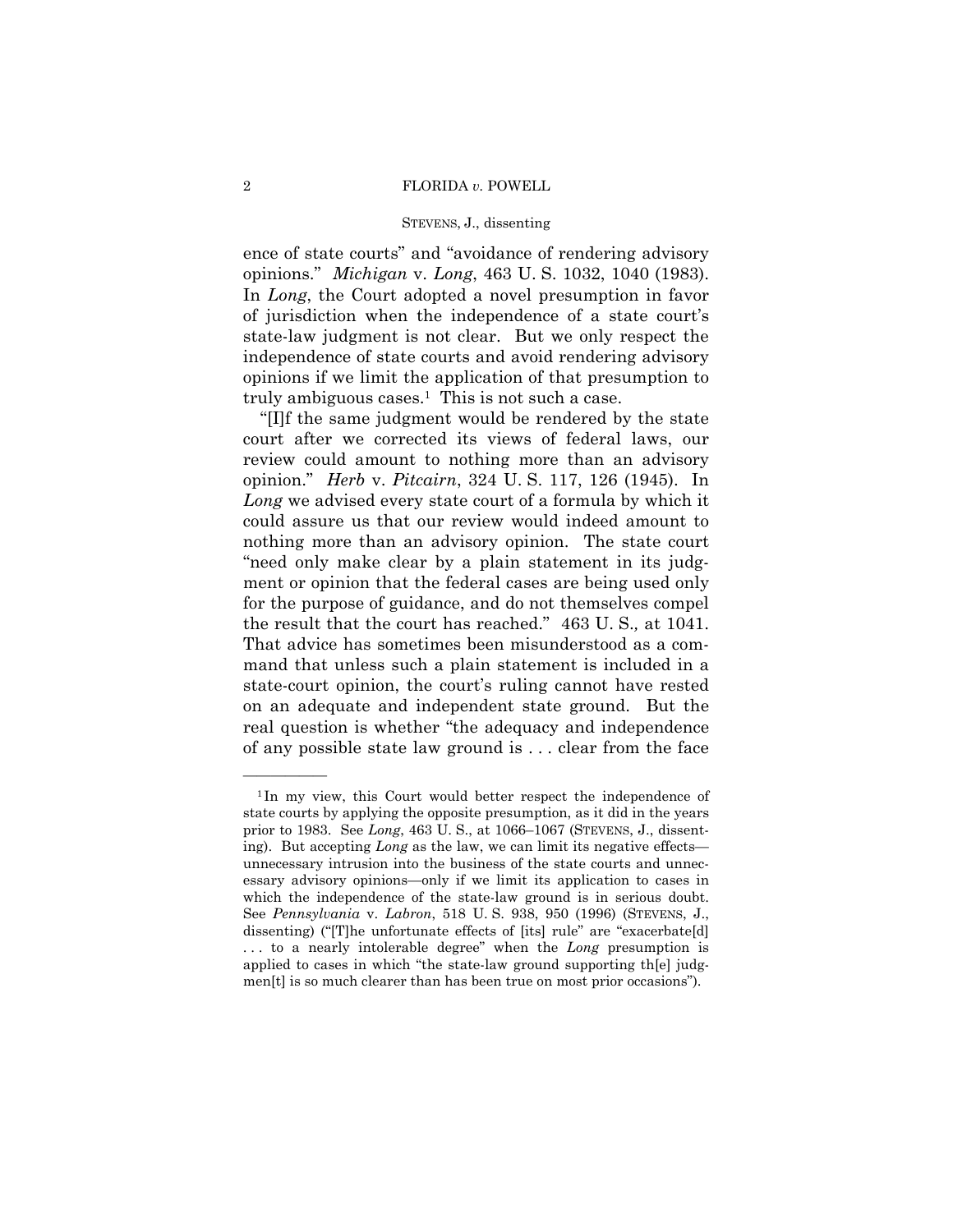#### 2 FLORIDA *v.* POWELL

#### STEVENS, J., dissenting

ence of state courts" and "avoidance of rendering advisory opinions." *Michigan* v. *Long*, 463 U. S. 1032, 1040 (1983). In *Long*, the Court adopted a novel presumption in favor of jurisdiction when the independence of a state court's state-law judgment is not clear. But we only respect the independence of state courts and avoid rendering advisory opinions if we limit the application of that presumption to truly ambiguous cases.<sup>1</sup> This is not such a case.

 "[I]f the same judgment would be rendered by the state court after we corrected its views of federal laws, our review could amount to nothing more than an advisory opinion." *Herb* v. *Pitcairn*, 324 U. S. 117, 126 (1945). In *Long* we advised every state court of a formula by which it could assure us that our review would indeed amount to nothing more than an advisory opinion. The state court "need only make clear by a plain statement in its judgment or opinion that the federal cases are being used only for the purpose of guidance, and do not themselves compel the result that the court has reached." 463 U. S.*,* at 1041. That advice has sometimes been misunderstood as a command that unless such a plain statement is included in a state-court opinion, the court's ruling cannot have rested on an adequate and independent state ground. But the real question is whether "the adequacy and independence of any possible state law ground is . . . clear from the face

<sup>&</sup>lt;sup>1</sup>In my view, this Court would better respect the independence of state courts by applying the opposite presumption, as it did in the years prior to 1983. See *Long*, 463 U. S., at 1066–1067 (STEVENS, J., dissenting). But accepting *Long* as the law, we can limit its negative effects unnecessary intrusion into the business of the state courts and unnecessary advisory opinions—only if we limit its application to cases in which the independence of the state-law ground is in serious doubt. See *Pennsylvania* v. *Labron*, 518 U. S. 938, 950 (1996) (STEVENS, J., dissenting) ("[T]he unfortunate effects of [its] rule" are "exacerbate[d] . . . to a nearly intolerable degree" when the *Long* presumption is applied to cases in which "the state-law ground supporting th[e] judgmen[t] is so much clearer than has been true on most prior occasions").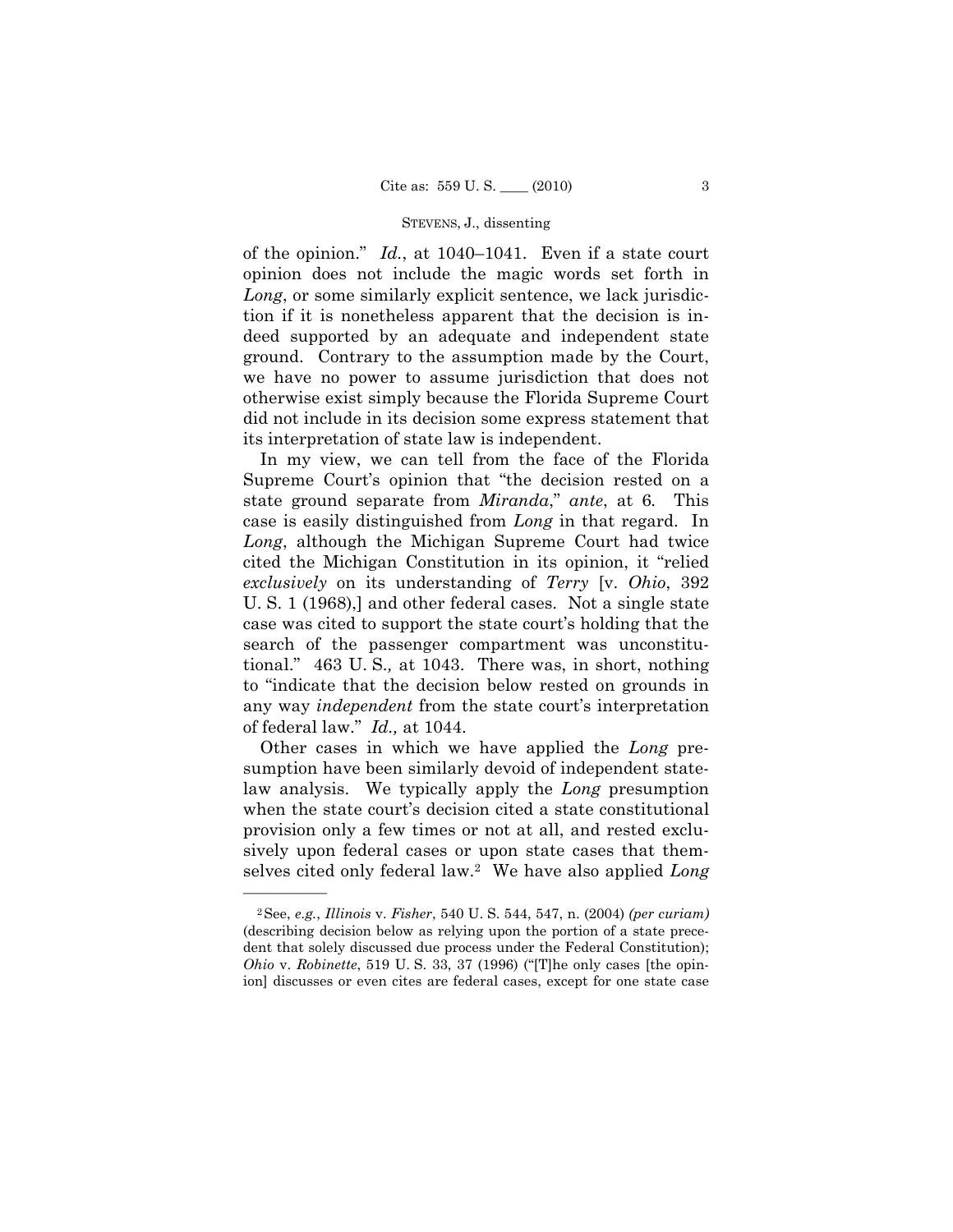of the opinion." *Id.*, at 1040–1041. Even if a state court opinion does not include the magic words set forth in *Long*, or some similarly explicit sentence, we lack jurisdiction if it is nonetheless apparent that the decision is indeed supported by an adequate and independent state ground. Contrary to the assumption made by the Court, we have no power to assume jurisdiction that does not otherwise exist simply because the Florida Supreme Court did not include in its decision some express statement that its interpretation of state law is independent.

 In my view, we can tell from the face of the Florida Supreme Court's opinion that "the decision rested on a state ground separate from *Miranda*," *ante*, at 6*.* This case is easily distinguished from *Long* in that regard. In *Long*, although the Michigan Supreme Court had twice cited the Michigan Constitution in its opinion, it "relied *exclusively* on its understanding of *Terry* [v. *Ohio*, 392 U. S. 1 (1968),] and other federal cases. Not a single state case was cited to support the state court's holding that the search of the passenger compartment was unconstitutional." 463 U. S.*,* at 1043. There was, in short, nothing to "indicate that the decision below rested on grounds in any way *independent* from the state court's interpretation of federal law." *Id.,* at 1044.

 Other cases in which we have applied the *Long* presumption have been similarly devoid of independent statelaw analysis. We typically apply the *Long* presumption when the state court's decision cited a state constitutional provision only a few times or not at all, and rested exclusively upon federal cases or upon state cases that themselves cited only federal law.2 We have also applied *Long*

<sup>2</sup>See, *e.g.*, *Illinois* v. *Fisher*, 540 U. S. 544, 547, n. (2004) *(per curiam)* (describing decision below as relying upon the portion of a state precedent that solely discussed due process under the Federal Constitution); *Ohio* v. *Robinette*, 519 U. S. 33, 37 (1996) ("[T]he only cases [the opinion] discusses or even cites are federal cases, except for one state case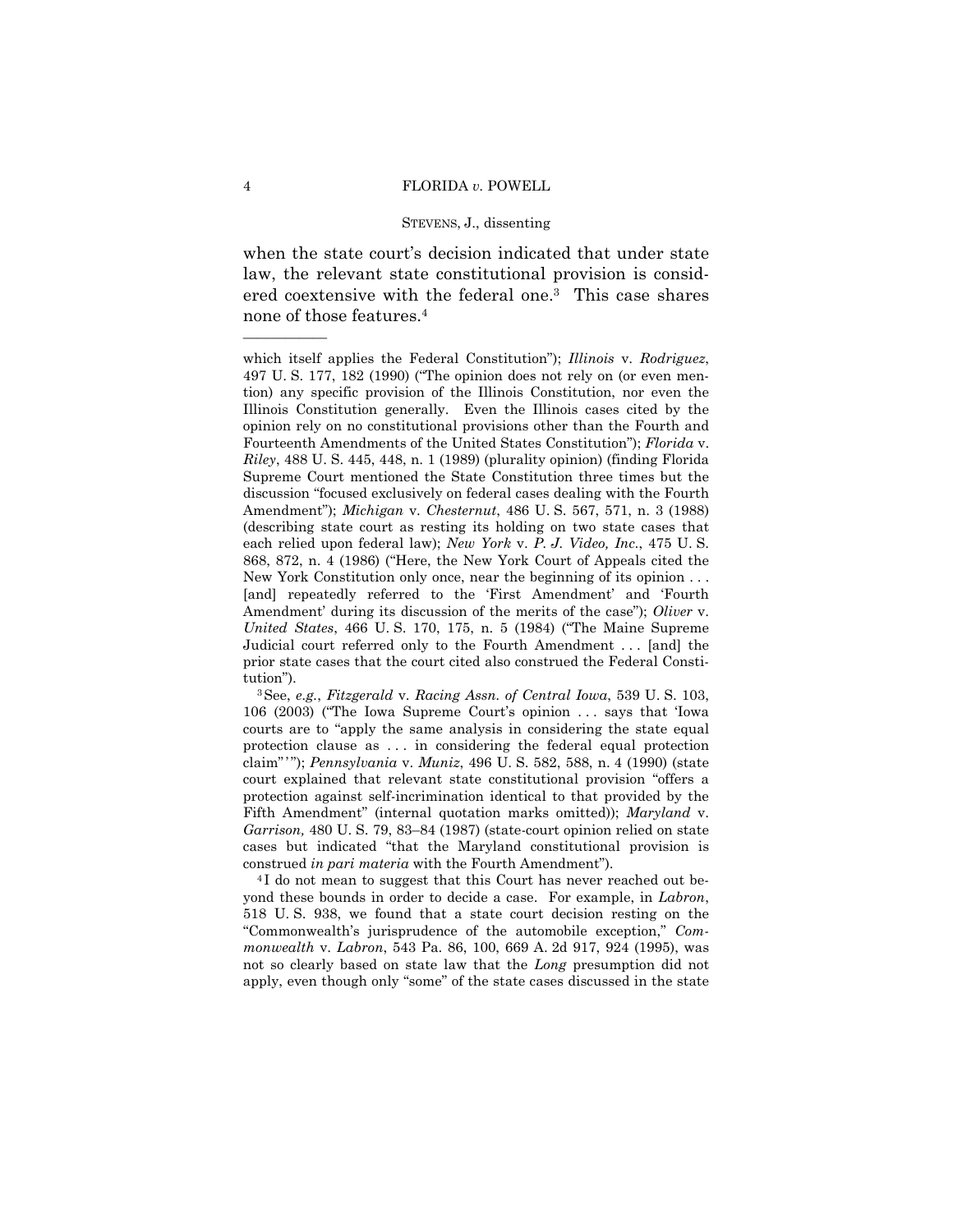when the state court's decision indicated that under state law, the relevant state constitutional provision is considered coextensive with the federal one.3 This case shares none of those features.4

106 (2003) ("The Iowa Supreme Court's opinion . . . says that 'Iowa courts are to "apply the same analysis in considering the state equal protection clause as . . . in considering the federal equal protection claim"'"); *Pennsylvania* v. *Muniz*, 496 U. S. 582, 588, n. 4 (1990) (state court explained that relevant state constitutional provision "offers a protection against self-incrimination identical to that provided by the Fifth Amendment" (internal quotation marks omitted)); *Maryland* v. *Garrison,* 480 U. S. 79, 83–84 (1987) (state-court opinion relied on state cases but indicated "that the Maryland constitutional provision is construed *in pari materia* with the Fourth Amendment").<br><sup>4</sup>I do not mean to suggest that this Court has never reached out be-

yond these bounds in order to decide a case. For example, in *Labron*, 518 U. S. 938, we found that a state court decision resting on the "Commonwealth's jurisprudence of the automobile exception," *Commonwealth* v. *Labron*, 543 Pa. 86, 100, 669 A. 2d 917, 924 (1995), was not so clearly based on state law that the *Long* presumption did not apply, even though only "some" of the state cases discussed in the state

which itself applies the Federal Constitution"); *Illinois* v. *Rodriguez*, 497 U. S. 177, 182 (1990) ("The opinion does not rely on (or even mention) any specific provision of the Illinois Constitution, nor even the Illinois Constitution generally. Even the Illinois cases cited by the opinion rely on no constitutional provisions other than the Fourth and Fourteenth Amendments of the United States Constitution"); *Florida* v. *Riley*, 488 U. S. 445, 448, n. 1 (1989) (plurality opinion) (finding Florida Supreme Court mentioned the State Constitution three times but the discussion "focused exclusively on federal cases dealing with the Fourth Amendment"); *Michigan* v. *Chesternut*, 486 U. S. 567, 571, n. 3 (1988) (describing state court as resting its holding on two state cases that each relied upon federal law); *New York* v. *P. J. Video, Inc.*, 475 U. S. 868, 872, n. 4 (1986) ("Here, the New York Court of Appeals cited the New York Constitution only once, near the beginning of its opinion . . . [and] repeatedly referred to the 'First Amendment' and 'Fourth Amendment' during its discussion of the merits of the case"); *Oliver* v. *United States*, 466 U. S. 170, 175, n. 5 (1984) ("The Maine Supreme Judicial court referred only to the Fourth Amendment . . . [and] the prior state cases that the court cited also construed the Federal Constitution"). 3See, *e.g.*, *Fitzgerald* v. *Racing Assn. of Central Iowa*, 539 U. S. 103,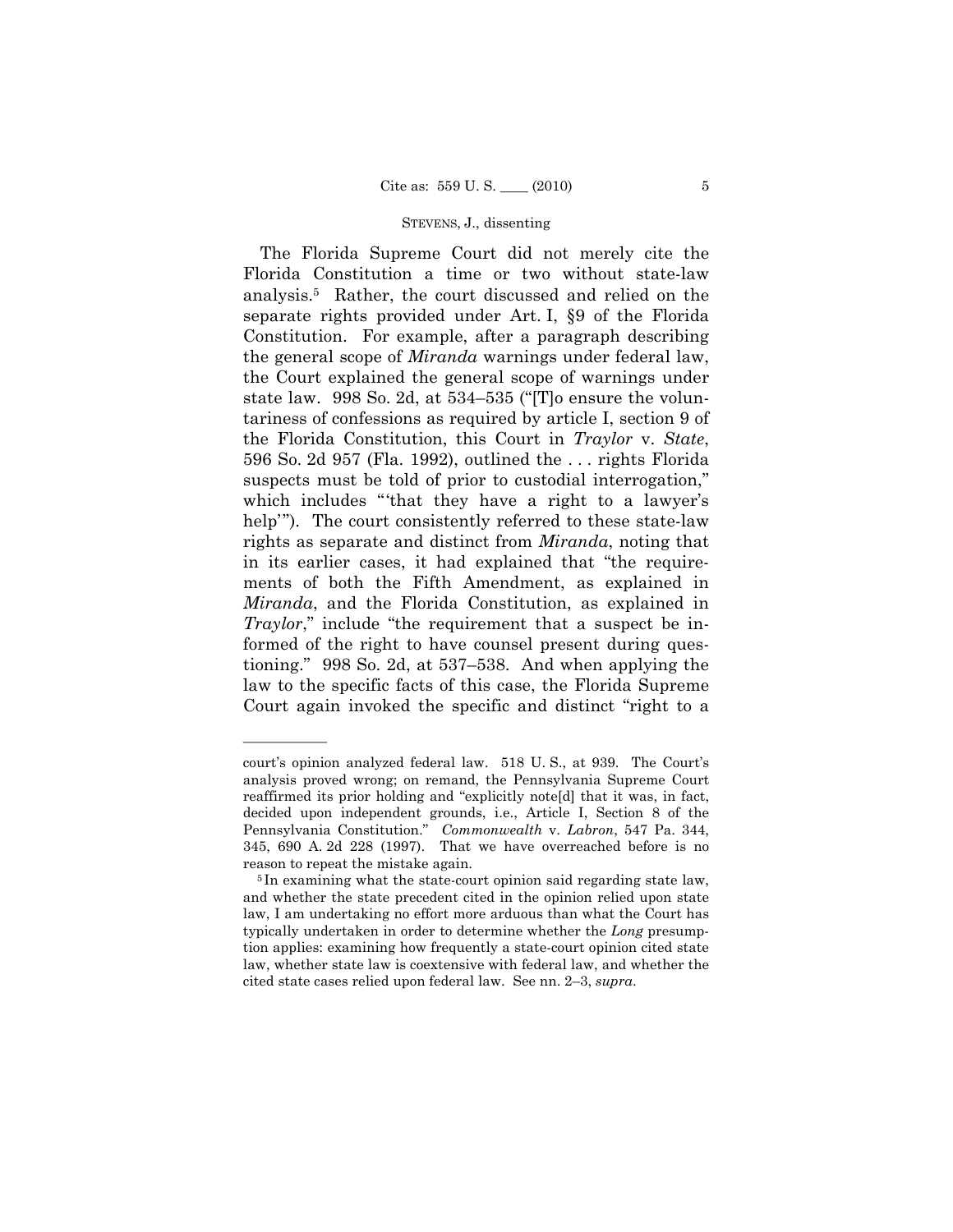The Florida Supreme Court did not merely cite the Florida Constitution a time or two without state-law analysis.5 Rather, the court discussed and relied on the separate rights provided under Art. I, §9 of the Florida Constitution. For example, after a paragraph describing the general scope of *Miranda* warnings under federal law, the Court explained the general scope of warnings under state law. 998 So. 2d, at 534–535 ("[T]o ensure the voluntariness of confessions as required by article I, section 9 of the Florida Constitution, this Court in *Traylor* v. *State*, 596 So. 2d 957 (Fla. 1992), outlined the . . . rights Florida suspects must be told of prior to custodial interrogation," which includes "'that they have a right to a lawyer's help'"). The court consistently referred to these state-law rights as separate and distinct from *Miranda*, noting that in its earlier cases, it had explained that "the requirements of both the Fifth Amendment, as explained in *Miranda*, and the Florida Constitution, as explained in *Traylor*," include "the requirement that a suspect be informed of the right to have counsel present during questioning." 998 So. 2d, at 537–538. And when applying the law to the specific facts of this case, the Florida Supreme Court again invoked the specific and distinct "right to a

court's opinion analyzed federal law. 518 U. S., at 939. The Court's analysis proved wrong; on remand, the Pennsylvania Supreme Court reaffirmed its prior holding and "explicitly note[d] that it was, in fact, decided upon independent grounds, i.e., Article I, Section 8 of the Pennsylvania Constitution." *Commonwealth* v. *Labron*, 547 Pa. 344, 345, 690 A. 2d 228 (1997). That we have overreached before is no

reason to repeat the mistake again. 5 In examining what the state-court opinion said regarding state law, and whether the state precedent cited in the opinion relied upon state law, I am undertaking no effort more arduous than what the Court has typically undertaken in order to determine whether the *Long* presumption applies: examining how frequently a state-court opinion cited state law, whether state law is coextensive with federal law, and whether the cited state cases relied upon federal law. See nn. 2–3, *supra*.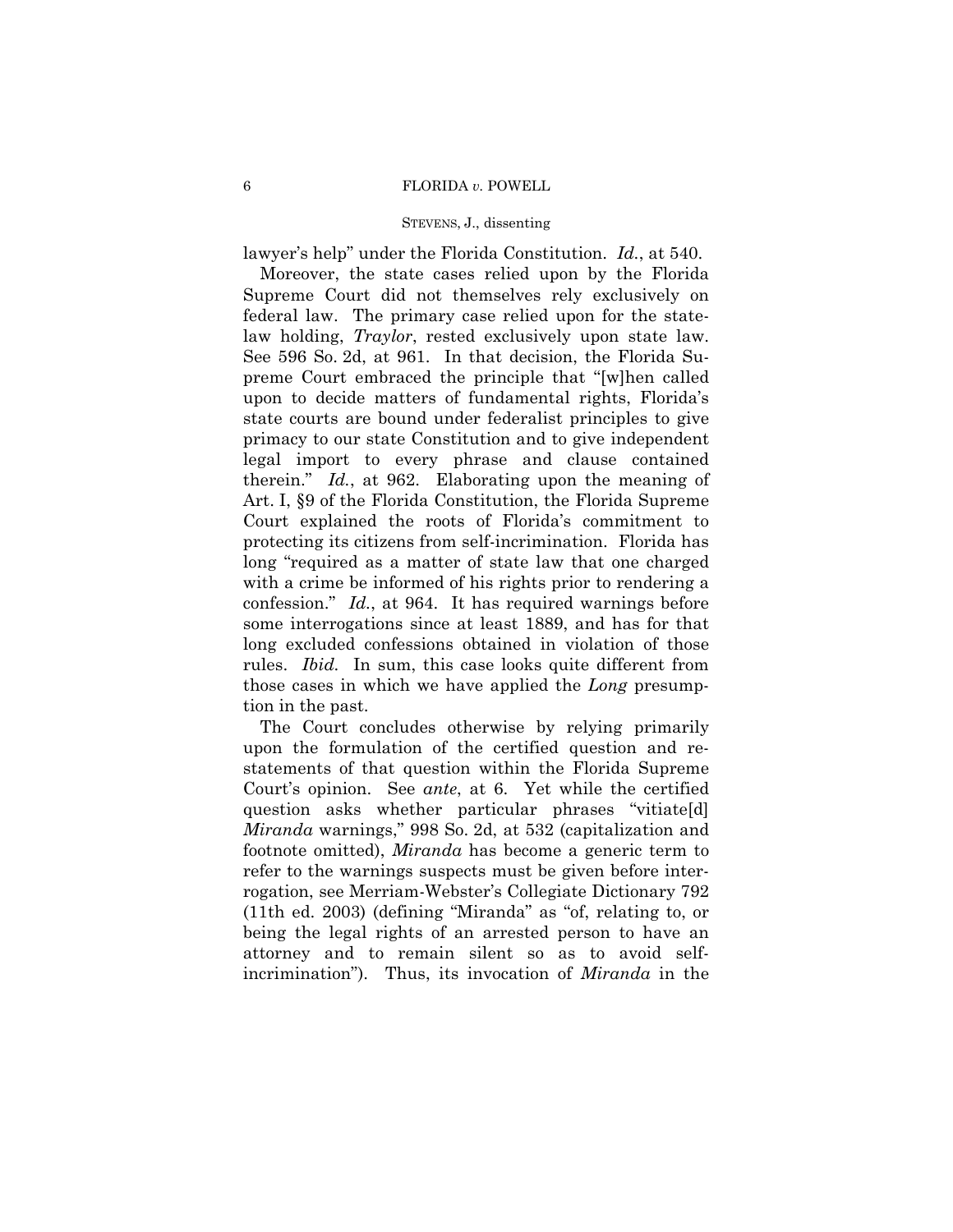lawyer's help" under the Florida Constitution. *Id.*, at 540.

 Moreover, the state cases relied upon by the Florida Supreme Court did not themselves rely exclusively on federal law. The primary case relied upon for the statelaw holding, *Traylor*, rested exclusively upon state law. See 596 So. 2d, at 961. In that decision, the Florida Supreme Court embraced the principle that "[w]hen called upon to decide matters of fundamental rights, Florida's state courts are bound under federalist principles to give primacy to our state Constitution and to give independent legal import to every phrase and clause contained therein." *Id.*, at 962. Elaborating upon the meaning of Art. I, §9 of the Florida Constitution, the Florida Supreme Court explained the roots of Florida's commitment to protecting its citizens from self-incrimination. Florida has long "required as a matter of state law that one charged with a crime be informed of his rights prior to rendering a confession." *Id.*, at 964. It has required warnings before some interrogations since at least 1889, and has for that long excluded confessions obtained in violation of those rules. *Ibid.* In sum, this case looks quite different from those cases in which we have applied the *Long* presumption in the past.

 The Court concludes otherwise by relying primarily upon the formulation of the certified question and restatements of that question within the Florida Supreme Court's opinion. See *ante*, at 6. Yet while the certified question asks whether particular phrases "vitiate[d] *Miranda* warnings," 998 So. 2d, at 532 (capitalization and footnote omitted), *Miranda* has become a generic term to refer to the warnings suspects must be given before interrogation, see Merriam-Webster's Collegiate Dictionary 792 (11th ed. 2003) (defining "Miranda" as "of, relating to, or being the legal rights of an arrested person to have an attorney and to remain silent so as to avoid selfincrimination"). Thus, its invocation of *Miranda* in the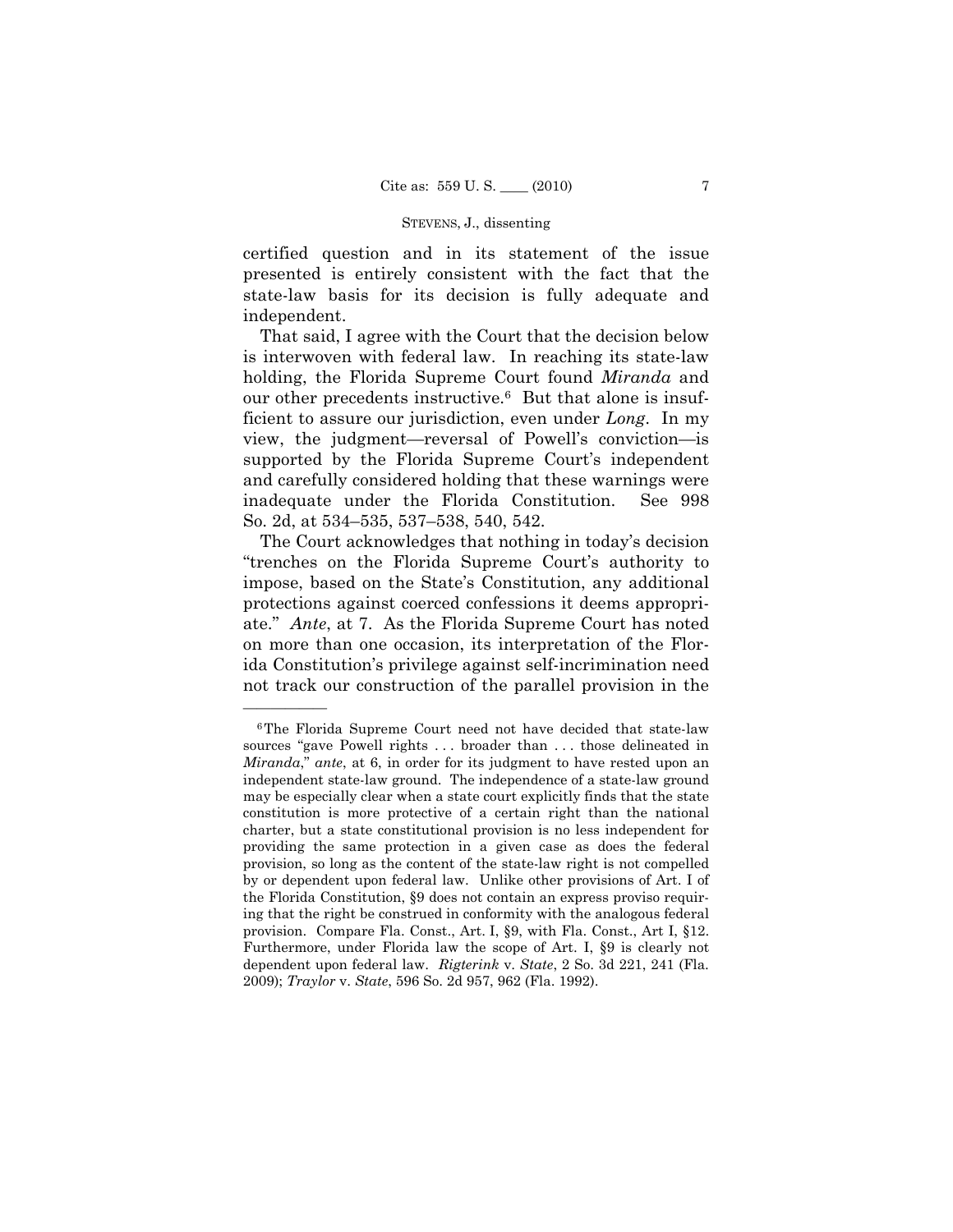certified question and in its statement of the issue presented is entirely consistent with the fact that the state-law basis for its decision is fully adequate and independent.

 That said, I agree with the Court that the decision below is interwoven with federal law. In reaching its state-law holding, the Florida Supreme Court found *Miranda* and our other precedents instructive.6 But that alone is insufficient to assure our jurisdiction, even under *Long*. In my view, the judgment—reversal of Powell's conviction—is supported by the Florida Supreme Court's independent and carefully considered holding that these warnings were inadequate under the Florida Constitution. See 998 So. 2d, at 534–535, 537–538, 540, 542.

 The Court acknowledges that nothing in today's decision "trenches on the Florida Supreme Court's authority to impose, based on the State's Constitution, any additional protections against coerced confessions it deems appropriate." *Ante*, at 7. As the Florida Supreme Court has noted on more than one occasion, its interpretation of the Florida Constitution's privilege against self-incrimination need not track our construction of the parallel provision in the

<sup>6</sup>The Florida Supreme Court need not have decided that state-law sources "gave Powell rights . . . broader than . . . those delineated in *Miranda*," *ante*, at 6, in order for its judgment to have rested upon an independent state-law ground. The independence of a state-law ground may be especially clear when a state court explicitly finds that the state constitution is more protective of a certain right than the national charter, but a state constitutional provision is no less independent for providing the same protection in a given case as does the federal provision, so long as the content of the state-law right is not compelled by or dependent upon federal law. Unlike other provisions of Art. I of the Florida Constitution, §9 does not contain an express proviso requiring that the right be construed in conformity with the analogous federal provision. Compare Fla. Const., Art. I, §9, with Fla. Const., Art I, §12. Furthermore, under Florida law the scope of Art. I, §9 is clearly not dependent upon federal law. *Rigterink* v. *State*, 2 So. 3d 221, 241 (Fla. 2009); *Traylor* v. *State*, 596 So. 2d 957, 962 (Fla. 1992).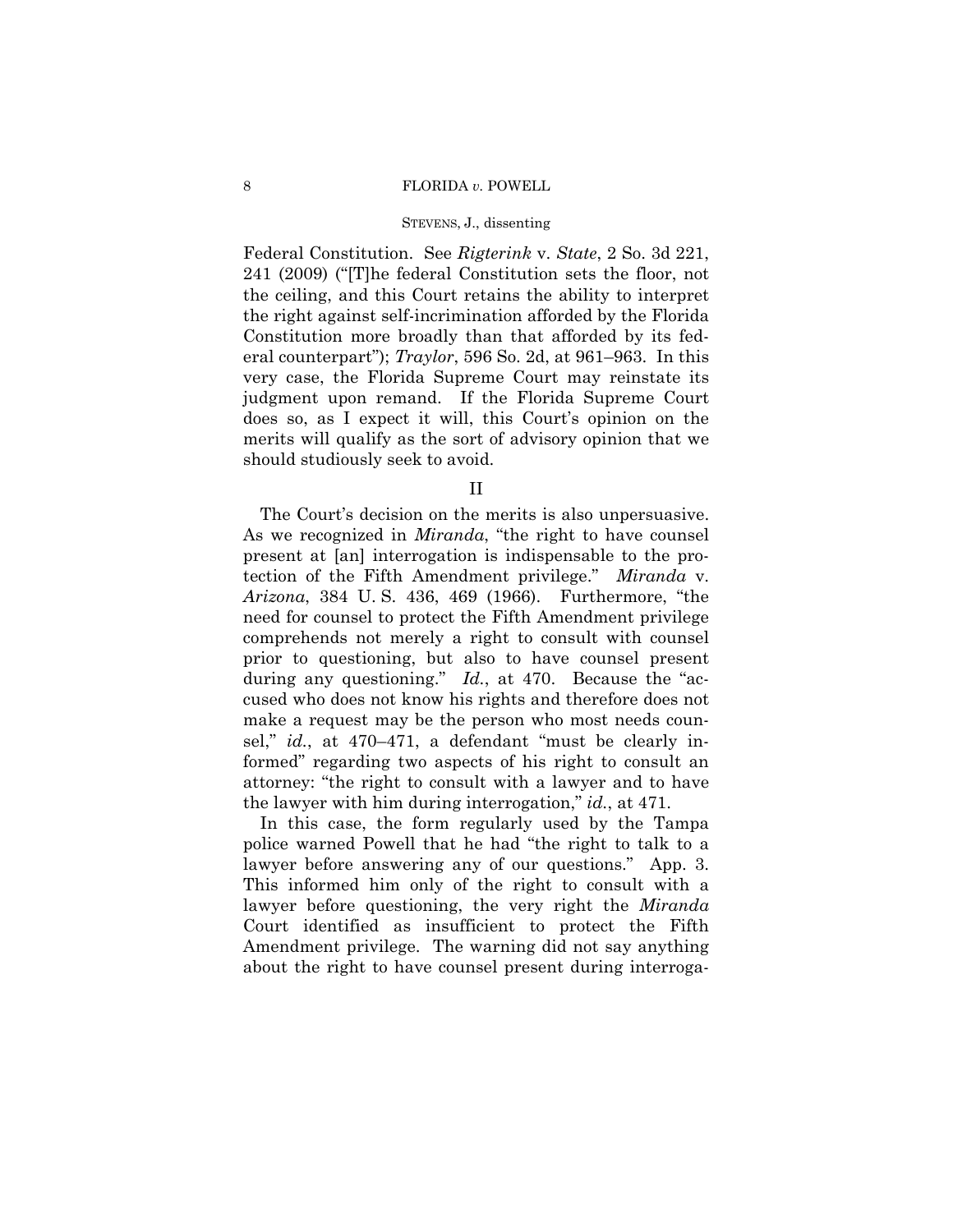#### 8 FLORIDA *v.* POWELL

## STEVENS, J., dissenting

Federal Constitution. See *Rigterink* v. *State*, 2 So. 3d 221, 241 (2009) ("[T]he federal Constitution sets the floor, not the ceiling, and this Court retains the ability to interpret the right against self-incrimination afforded by the Florida Constitution more broadly than that afforded by its federal counterpart"); *Traylor*, 596 So. 2d, at 961–963. In this very case, the Florida Supreme Court may reinstate its judgment upon remand. If the Florida Supreme Court does so, as I expect it will, this Court's opinion on the merits will qualify as the sort of advisory opinion that we should studiously seek to avoid.

II

 The Court's decision on the merits is also unpersuasive. As we recognized in *Miranda*, "the right to have counsel present at [an] interrogation is indispensable to the protection of the Fifth Amendment privilege." *Miranda* v. *Arizona*, 384 U. S. 436, 469 (1966). Furthermore, "the need for counsel to protect the Fifth Amendment privilege comprehends not merely a right to consult with counsel prior to questioning, but also to have counsel present during any questioning." *Id.*, at 470. Because the "accused who does not know his rights and therefore does not make a request may be the person who most needs counsel," *id.*, at 470–471, a defendant "must be clearly informed" regarding two aspects of his right to consult an attorney: "the right to consult with a lawyer and to have the lawyer with him during interrogation," *id.*, at 471.

 In this case, the form regularly used by the Tampa police warned Powell that he had "the right to talk to a lawyer before answering any of our questions." App. 3. This informed him only of the right to consult with a lawyer before questioning, the very right the *Miranda*  Court identified as insufficient to protect the Fifth Amendment privilege. The warning did not say anything about the right to have counsel present during interroga-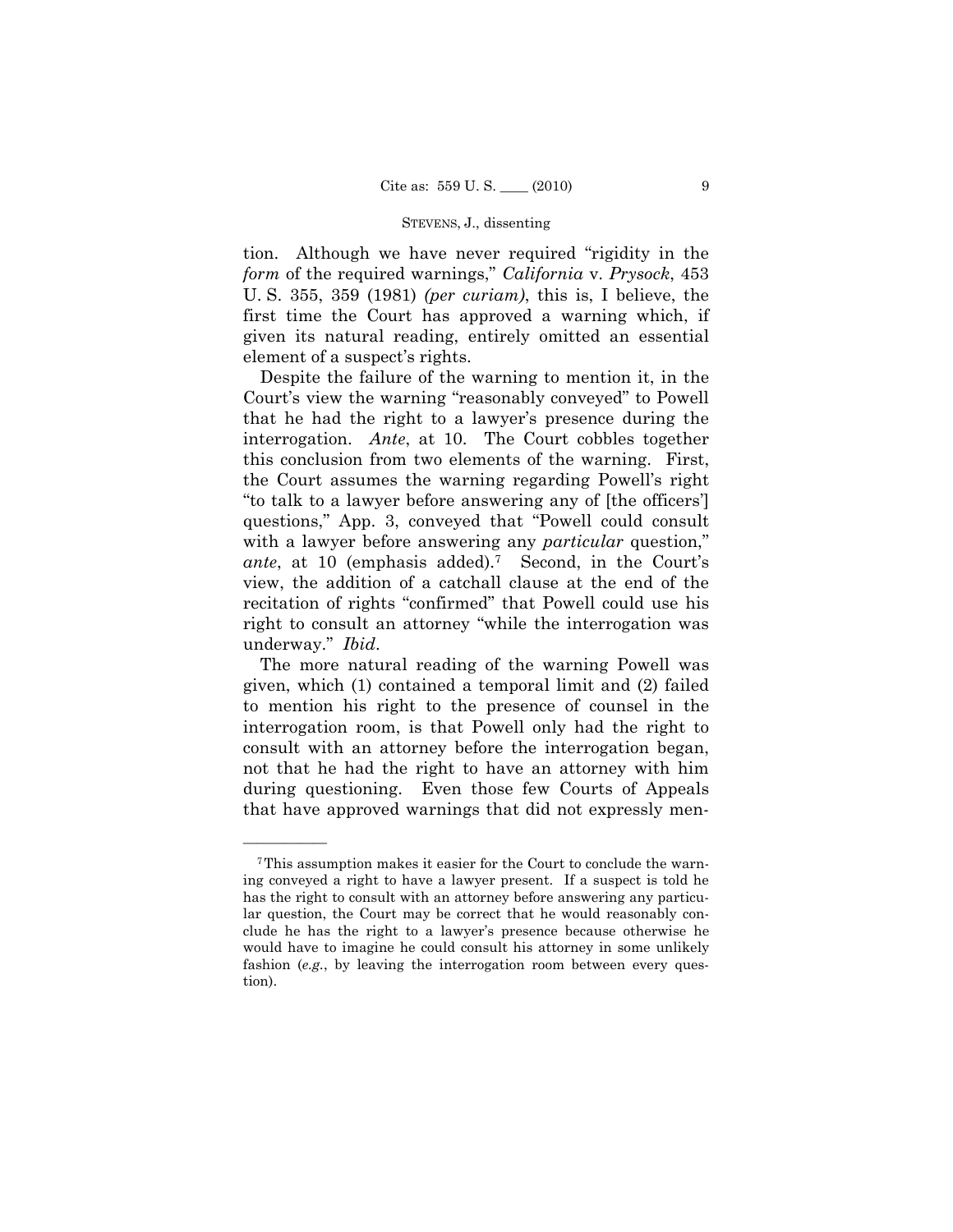tion. Although we have never required "rigidity in the *form* of the required warnings," *California* v. *Prysock*, 453 U. S. 355, 359 (1981) *(per curiam)*, this is, I believe, the first time the Court has approved a warning which, if given its natural reading, entirely omitted an essential element of a suspect's rights.

 Despite the failure of the warning to mention it, in the Court's view the warning "reasonably conveyed" to Powell that he had the right to a lawyer's presence during the interrogation. *Ante*, at 10. The Court cobbles together this conclusion from two elements of the warning. First, the Court assumes the warning regarding Powell's right "to talk to a lawyer before answering any of [the officers'] questions," App. 3, conveyed that "Powell could consult with a lawyer before answering any *particular* question," *ante*, at 10 (emphasis added).7 Second, in the Court's view, the addition of a catchall clause at the end of the recitation of rights "confirmed" that Powell could use his right to consult an attorney "while the interrogation was underway." *Ibid*.

 The more natural reading of the warning Powell was given, which (1) contained a temporal limit and (2) failed to mention his right to the presence of counsel in the interrogation room, is that Powell only had the right to consult with an attorney before the interrogation began, not that he had the right to have an attorney with him during questioning. Even those few Courts of Appeals that have approved warnings that did not expressly men-

<sup>7</sup>This assumption makes it easier for the Court to conclude the warning conveyed a right to have a lawyer present. If a suspect is told he has the right to consult with an attorney before answering any particular question, the Court may be correct that he would reasonably conclude he has the right to a lawyer's presence because otherwise he would have to imagine he could consult his attorney in some unlikely fashion (*e.g.*, by leaving the interrogation room between every question).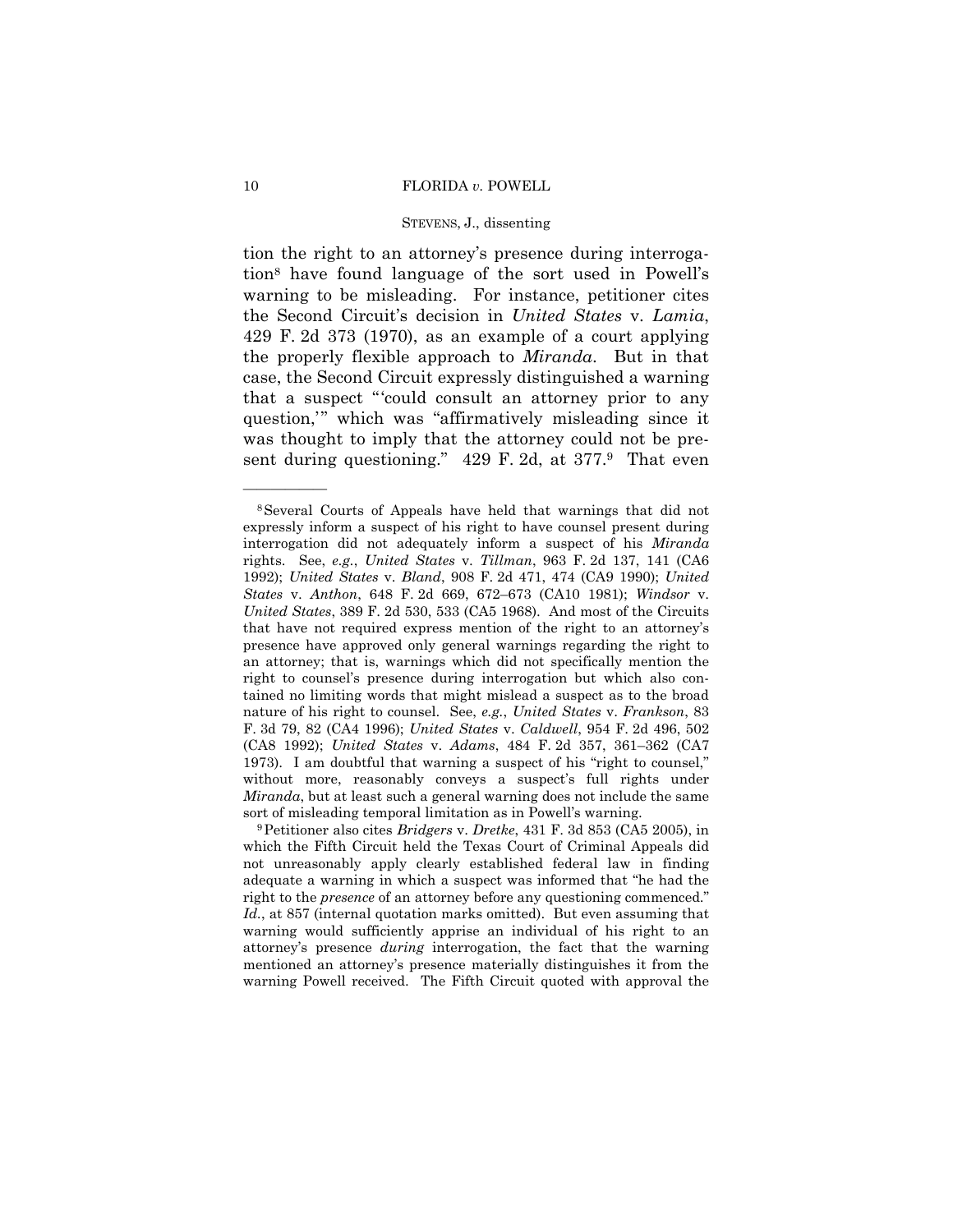tion the right to an attorney's presence during interrogation8 have found language of the sort used in Powell's warning to be misleading. For instance, petitioner cites the Second Circuit's decision in *United States* v. *Lamia*, 429 F. 2d 373 (1970), as an example of a court applying the properly flexible approach to *Miranda*. But in that case, the Second Circuit expressly distinguished a warning that a suspect "'could consult an attorney prior to any question,'" which was "affirmatively misleading since it was thought to imply that the attorney could not be present during questioning." 429 F. 2d, at 377.9 That even

<sup>8</sup>Several Courts of Appeals have held that warnings that did not expressly inform a suspect of his right to have counsel present during interrogation did not adequately inform a suspect of his *Miranda* rights. See, *e.g.*, *United States* v. *Tillman*, 963 F. 2d 137, 141 (CA6 1992); *United States* v. *Bland*, 908 F. 2d 471, 474 (CA9 1990); *United States* v. *Anthon*, 648 F. 2d 669, 672–673 (CA10 1981); *Windsor* v. *United States*, 389 F. 2d 530, 533 (CA5 1968). And most of the Circuits that have not required express mention of the right to an attorney's presence have approved only general warnings regarding the right to an attorney; that is, warnings which did not specifically mention the right to counsel's presence during interrogation but which also contained no limiting words that might mislead a suspect as to the broad nature of his right to counsel. See, *e.g.*, *United States* v. *Frankson*, 83 F. 3d 79, 82 (CA4 1996); *United States* v. *Caldwell*, 954 F. 2d 496, 502 (CA8 1992); *United States* v. *Adams*, 484 F. 2d 357, 361–362 (CA7 1973). I am doubtful that warning a suspect of his "right to counsel," without more, reasonably conveys a suspect's full rights under *Miranda*, but at least such a general warning does not include the same sort of misleading temporal limitation as in Powell's warning. 9Petitioner also cites *Bridgers* v. *Dretke*, 431 F. 3d 853 (CA5 2005), in

which the Fifth Circuit held the Texas Court of Criminal Appeals did not unreasonably apply clearly established federal law in finding adequate a warning in which a suspect was informed that "he had the right to the *presence* of an attorney before any questioning commenced." *Id.*, at 857 (internal quotation marks omitted). But even assuming that warning would sufficiently apprise an individual of his right to an attorney's presence *during* interrogation, the fact that the warning mentioned an attorney's presence materially distinguishes it from the warning Powell received. The Fifth Circuit quoted with approval the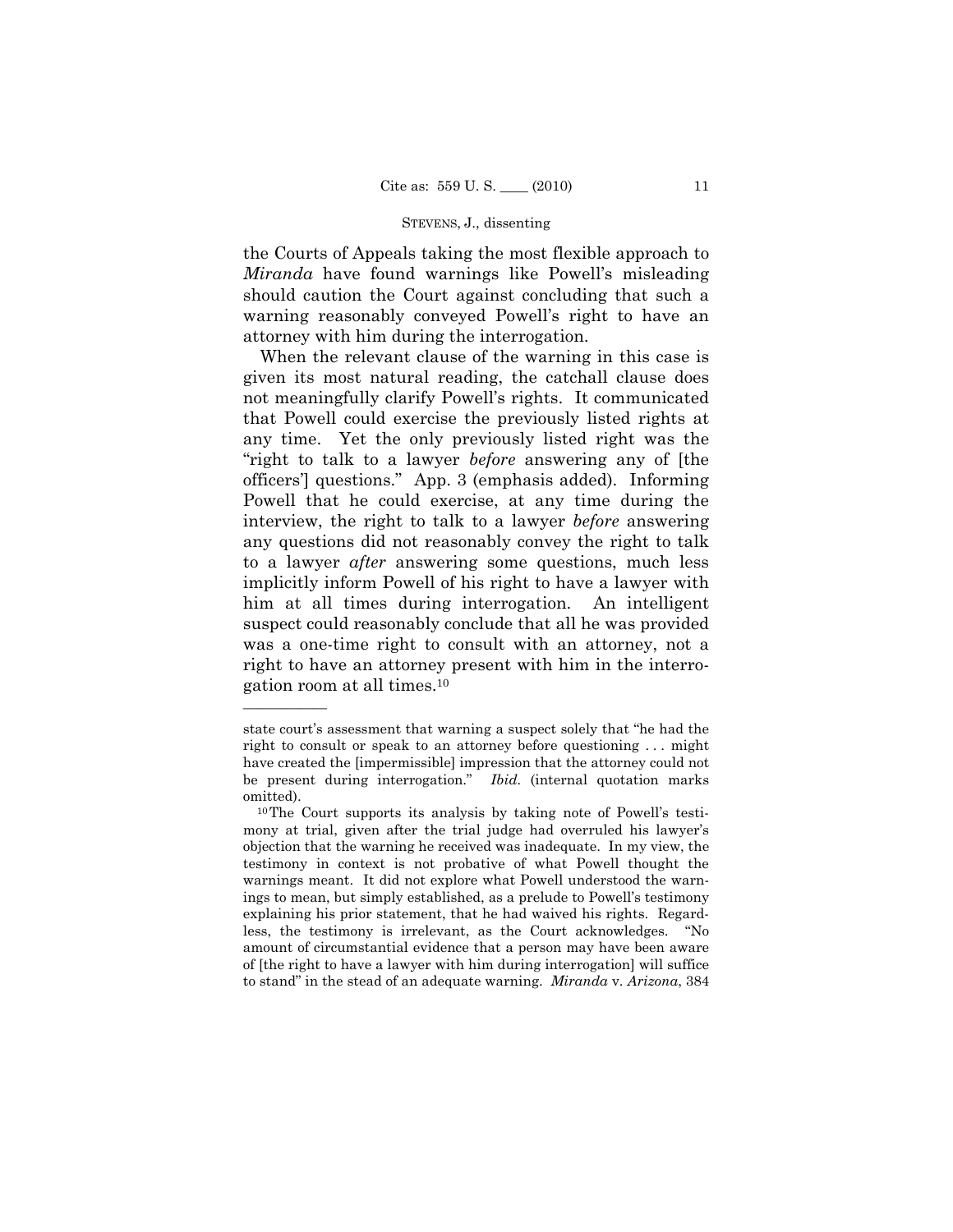the Courts of Appeals taking the most flexible approach to *Miranda* have found warnings like Powell's misleading should caution the Court against concluding that such a warning reasonably conveyed Powell's right to have an attorney with him during the interrogation.

 When the relevant clause of the warning in this case is given its most natural reading, the catchall clause does not meaningfully clarify Powell's rights. It communicated that Powell could exercise the previously listed rights at any time. Yet the only previously listed right was the "right to talk to a lawyer *before* answering any of [the officers'] questions." App. 3 (emphasis added). Informing Powell that he could exercise, at any time during the interview, the right to talk to a lawyer *before* answering any questions did not reasonably convey the right to talk to a lawyer *after* answering some questions, much less implicitly inform Powell of his right to have a lawyer with him at all times during interrogation. An intelligent suspect could reasonably conclude that all he was provided was a one-time right to consult with an attorney, not a right to have an attorney present with him in the interrogation room at all times.10

state court's assessment that warning a suspect solely that "he had the right to consult or speak to an attorney before questioning . . . might have created the [impermissible] impression that the attorney could not be present during interrogation." *Ibid.* (internal quotation marks omitted). 10The Court supports its analysis by taking note of Powell's testi-

mony at trial, given after the trial judge had overruled his lawyer's objection that the warning he received was inadequate. In my view, the testimony in context is not probative of what Powell thought the warnings meant. It did not explore what Powell understood the warnings to mean, but simply established, as a prelude to Powell's testimony explaining his prior statement, that he had waived his rights. Regardless, the testimony is irrelevant, as the Court acknowledges. "No amount of circumstantial evidence that a person may have been aware of [the right to have a lawyer with him during interrogation] will suffice to stand" in the stead of an adequate warning. *Miranda* v. *Arizona*, 384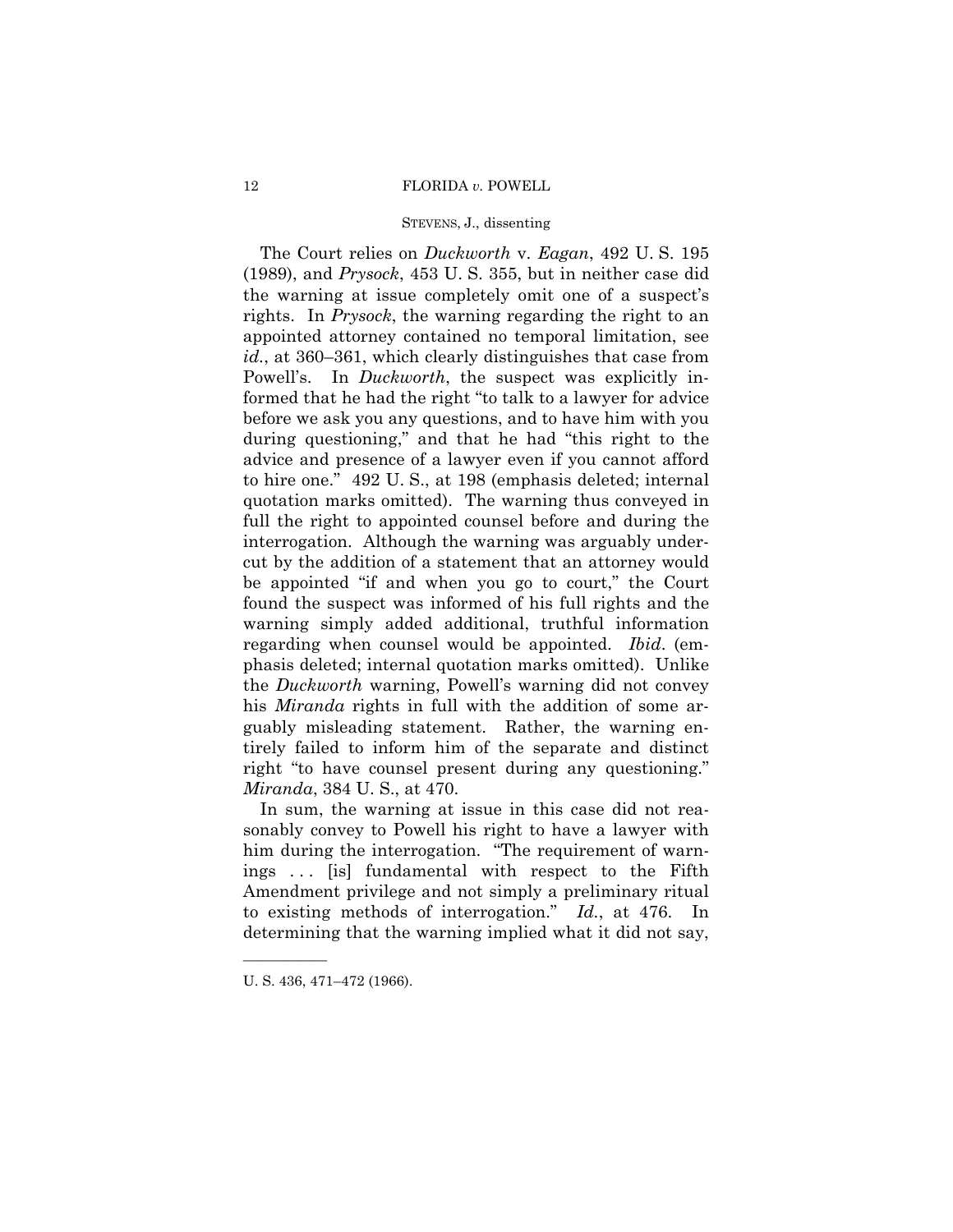#### 12 FLORIDA *v.* POWELL

## STEVENS, J., dissenting

 The Court relies on *Duckworth* v. *Eagan*, 492 U. S. 195 (1989), and *Prysock*, 453 U. S. 355, but in neither case did the warning at issue completely omit one of a suspect's rights. In *Prysock*, the warning regarding the right to an appointed attorney contained no temporal limitation, see *id.*, at 360–361, which clearly distinguishes that case from Powell's. In *Duckworth*, the suspect was explicitly informed that he had the right "to talk to a lawyer for advice before we ask you any questions, and to have him with you during questioning," and that he had "this right to the advice and presence of a lawyer even if you cannot afford to hire one." 492 U. S., at 198 (emphasis deleted; internal quotation marks omitted). The warning thus conveyed in full the right to appointed counsel before and during the interrogation. Although the warning was arguably undercut by the addition of a statement that an attorney would be appointed "if and when you go to court," the Court found the suspect was informed of his full rights and the warning simply added additional, truthful information regarding when counsel would be appointed. *Ibid*. (emphasis deleted; internal quotation marks omitted). Unlike the *Duckworth* warning, Powell's warning did not convey his *Miranda* rights in full with the addition of some arguably misleading statement. Rather, the warning entirely failed to inform him of the separate and distinct right "to have counsel present during any questioning." *Miranda*, 384 U. S., at 470.

 In sum, the warning at issue in this case did not reasonably convey to Powell his right to have a lawyer with him during the interrogation. "The requirement of warnings . . . [is] fundamental with respect to the Fifth Amendment privilege and not simply a preliminary ritual to existing methods of interrogation." *Id.*, at 476. In determining that the warning implied what it did not say,

U. S. 436, 471–472 (1966).